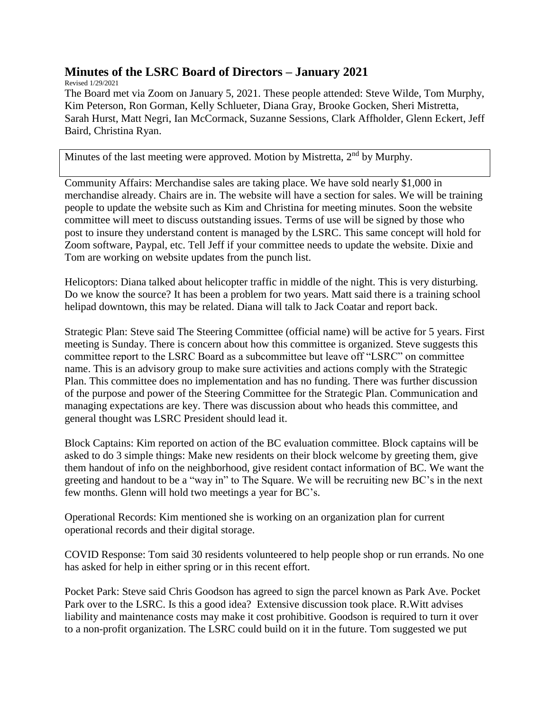## **Minutes of the LSRC Board of Directors – January 2021**

Revised 1/29/2021

The Board met via Zoom on January 5, 2021. These people attended: Steve Wilde, Tom Murphy, Kim Peterson, Ron Gorman, Kelly Schlueter, Diana Gray, Brooke Gocken, Sheri Mistretta, Sarah Hurst, Matt Negri, Ian McCormack, Suzanne Sessions, Clark Affholder, Glenn Eckert, Jeff Baird, Christina Ryan.

Minutes of the last meeting were approved. Motion by Mistretta,  $2<sup>nd</sup>$  by Murphy.

Community Affairs: Merchandise sales are taking place. We have sold nearly \$1,000 in merchandise already. Chairs are in. The website will have a section for sales. We will be training people to update the website such as Kim and Christina for meeting minutes. Soon the website committee will meet to discuss outstanding issues. Terms of use will be signed by those who post to insure they understand content is managed by the LSRC. This same concept will hold for Zoom software, Paypal, etc. Tell Jeff if your committee needs to update the website. Dixie and Tom are working on website updates from the punch list.

Helicoptors: Diana talked about helicopter traffic in middle of the night. This is very disturbing. Do we know the source? It has been a problem for two years. Matt said there is a training school helipad downtown, this may be related. Diana will talk to Jack Coatar and report back.

Strategic Plan: Steve said The Steering Committee (official name) will be active for 5 years. First meeting is Sunday. There is concern about how this committee is organized. Steve suggests this committee report to the LSRC Board as a subcommittee but leave off "LSRC" on committee name. This is an advisory group to make sure activities and actions comply with the Strategic Plan. This committee does no implementation and has no funding. There was further discussion of the purpose and power of the Steering Committee for the Strategic Plan. Communication and managing expectations are key. There was discussion about who heads this committee, and general thought was LSRC President should lead it.

Block Captains: Kim reported on action of the BC evaluation committee. Block captains will be asked to do 3 simple things: Make new residents on their block welcome by greeting them, give them handout of info on the neighborhood, give resident contact information of BC. We want the greeting and handout to be a "way in" to The Square. We will be recruiting new BC's in the next few months. Glenn will hold two meetings a year for BC's.

Operational Records: Kim mentioned she is working on an organization plan for current operational records and their digital storage.

COVID Response: Tom said 30 residents volunteered to help people shop or run errands. No one has asked for help in either spring or in this recent effort.

Pocket Park: Steve said Chris Goodson has agreed to sign the parcel known as Park Ave. Pocket Park over to the LSRC. Is this a good idea? Extensive discussion took place. R.Witt advises liability and maintenance costs may make it cost prohibitive. Goodson is required to turn it over to a non-profit organization. The LSRC could build on it in the future. Tom suggested we put